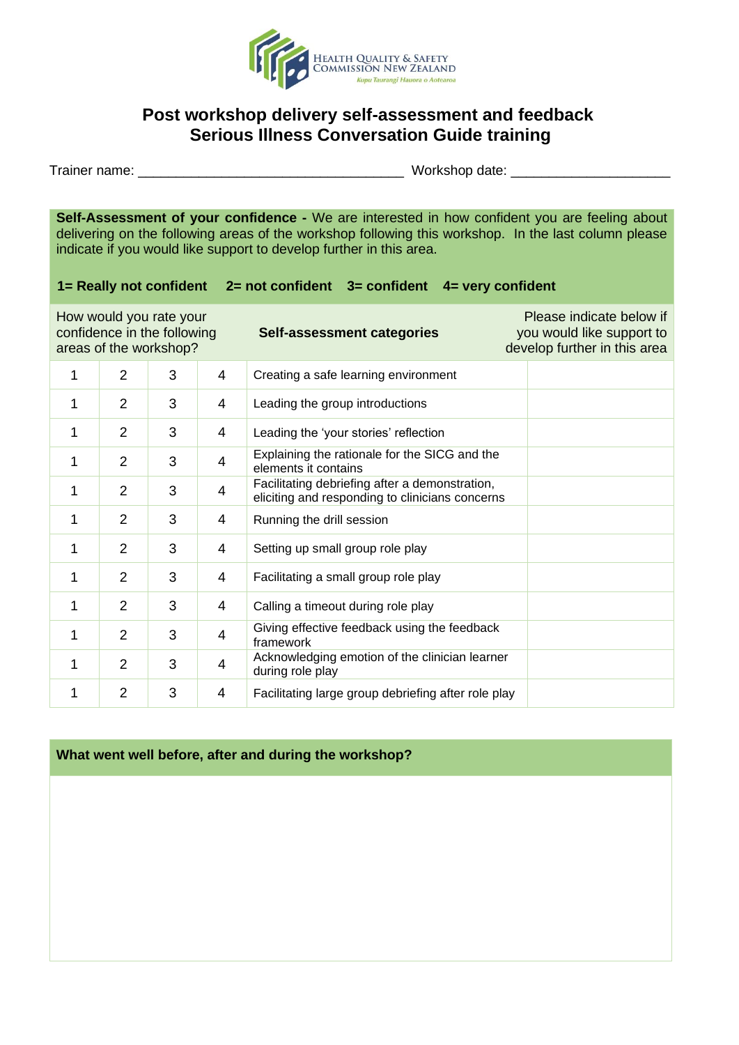

# **Post workshop delivery self-assessment and feedback Serious Illness Conversation Guide training**

Trainer name: \_\_\_\_\_\_\_\_\_\_\_\_\_\_\_\_\_\_\_\_\_\_\_\_\_\_\_\_\_\_\_\_\_\_\_ Workshop date: \_\_\_\_\_\_\_\_\_\_\_\_\_\_\_\_\_\_\_\_\_

**Self-Assessment of your confidence -** We are interested in how confident you are feeling about delivering on the following areas of the workshop following this workshop. In the last column please indicate if you would like support to develop further in this area.

### **1= Really not confident 2= not confident 3= confident 4= very confident**

| How would you rate your<br>confidence in the following<br>areas of the workshop? |                |   |   | Self-assessment categories                                                                        | Please indicate below if<br>you would like support to<br>develop further in this area |
|----------------------------------------------------------------------------------|----------------|---|---|---------------------------------------------------------------------------------------------------|---------------------------------------------------------------------------------------|
| 1                                                                                | $\overline{2}$ | 3 | 4 | Creating a safe learning environment                                                              |                                                                                       |
| 1                                                                                | 2              | 3 | 4 | Leading the group introductions                                                                   |                                                                                       |
| 1                                                                                | $\overline{2}$ | 3 | 4 | Leading the 'your stories' reflection                                                             |                                                                                       |
| 1                                                                                | $\overline{2}$ | 3 | 4 | Explaining the rationale for the SICG and the<br>elements it contains                             |                                                                                       |
| 1                                                                                | $\overline{2}$ | 3 | 4 | Facilitating debriefing after a demonstration,<br>eliciting and responding to clinicians concerns |                                                                                       |
| 1                                                                                | $\overline{2}$ | 3 | 4 | Running the drill session                                                                         |                                                                                       |
| 1                                                                                | $\overline{2}$ | 3 | 4 | Setting up small group role play                                                                  |                                                                                       |
| 1                                                                                | $\overline{2}$ | 3 | 4 | Facilitating a small group role play                                                              |                                                                                       |
| $\mathbf 1$                                                                      | $\overline{2}$ | 3 | 4 | Calling a timeout during role play                                                                |                                                                                       |
| 1                                                                                | $\overline{2}$ | 3 | 4 | Giving effective feedback using the feedback<br>framework                                         |                                                                                       |
| 1                                                                                | 2              | 3 | 4 | Acknowledging emotion of the clinician learner<br>during role play                                |                                                                                       |
| 1                                                                                | $\overline{2}$ | 3 | 4 | Facilitating large group debriefing after role play                                               |                                                                                       |

### **What went well before, after and during the workshop?**